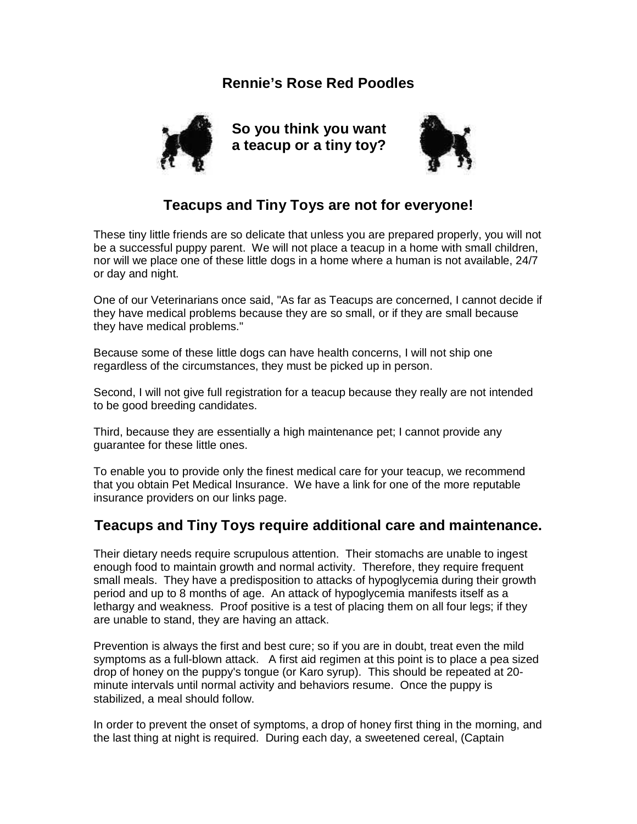## **Rennie's Rose Red Poodles**



**So you think you want a teacup or a tiny toy?**



## **Teacups and Tiny Toys are not for everyone!**

These tiny little friends are so delicate that unless you are prepared properly, you will not be a successful puppy parent. We will not place a teacup in a home with small children, nor will we place one of these little dogs in a home where a human is not available, 24/7 or day and night.

One of our Veterinarians once said, "As far as Teacups are concerned, I cannot decide if they have medical problems because they are so small, or if they are small because they have medical problems."

Because some of these little dogs can have health concerns, I will not ship one regardless of the circumstances, they must be picked up in person.

Second, I will not give full registration for a teacup because they really are not intended to be good breeding candidates.

Third, because they are essentially a high maintenance pet; I cannot provide any guarantee for these little ones.

To enable you to provide only the finest medical care for your teacup, we recommend that you obtain Pet Medical Insurance. We have a link for one of the more reputable insurance providers on our links page.

## **Teacups and Tiny Toys require additional care and maintenance.**

Their dietary needs require scrupulous attention. Their stomachs are unable to ingest enough food to maintain growth and normal activity. Therefore, they require frequent small meals. They have a predisposition to attacks of hypoglycemia during their growth period and up to 8 months of age. An attack of hypoglycemia manifests itself as a lethargy and weakness. Proof positive is a test of placing them on all four legs; if they are unable to stand, they are having an attack.

Prevention is always the first and best cure; so if you are in doubt, treat even the mild symptoms as a full-blown attack. A first aid regimen at this point is to place a pea sized drop of honey on the puppy's tongue (or Karo syrup). This should be repeated at 20 minute intervals until normal activity and behaviors resume. Once the puppy is stabilized, a meal should follow.

In order to prevent the onset of symptoms, a drop of honey first thing in the morning, and the last thing at night is required. During each day, a sweetened cereal, (Captain